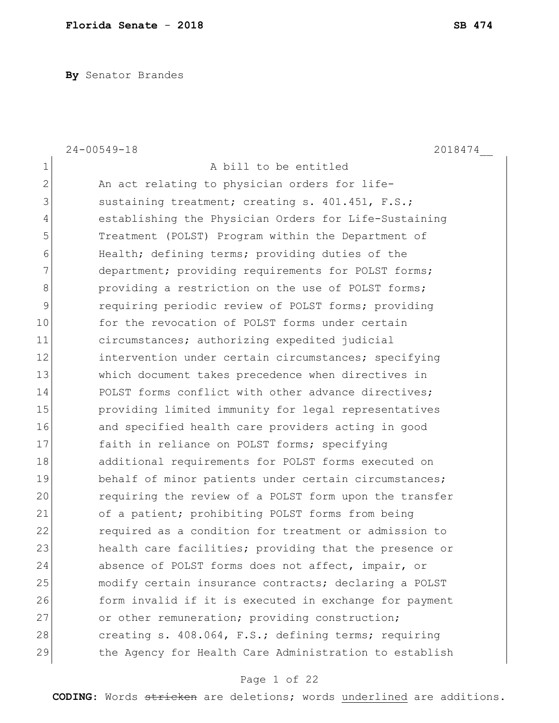**By** Senator Brandes

|              | $24 - 00549 - 18$<br>2018474                           |
|--------------|--------------------------------------------------------|
| $\mathbf 1$  | A bill to be entitled                                  |
| $\mathbf{2}$ | An act relating to physician orders for life-          |
| 3            | sustaining treatment; creating s. 401.451, F.S.;       |
| 4            | establishing the Physician Orders for Life-Sustaining  |
| 5            | Treatment (POLST) Program within the Department of     |
| 6            | Health; defining terms; providing duties of the        |
| 7            | department; providing requirements for POLST forms;    |
| 8            | providing a restriction on the use of POLST forms;     |
| 9            | requiring periodic review of POLST forms; providing    |
| 10           | for the revocation of POLST forms under certain        |
| 11           | circumstances; authorizing expedited judicial          |
| 12           | intervention under certain circumstances; specifying   |
| 13           | which document takes precedence when directives in     |
| 14           | POLST forms conflict with other advance directives;    |
| 15           | providing limited immunity for legal representatives   |
| 16           | and specified health care providers acting in good     |
| 17           | faith in reliance on POLST forms; specifying           |
| 18           | additional requirements for POLST forms executed on    |
| 19           | behalf of minor patients under certain circumstances;  |
| 20           | requiring the review of a POLST form upon the transfer |
| 21           | of a patient; prohibiting POLST forms from being       |
| 22           | required as a condition for treatment or admission to  |
| 23           | health care facilities; providing that the presence or |
| 24           | absence of POLST forms does not affect, impair, or     |
| 25           | modify certain insurance contracts; declaring a POLST  |
| 26           | form invalid if it is executed in exchange for payment |
| 27           | or other remuneration; providing construction;         |
| 28           | creating s. 408.064, F.S.; defining terms; requiring   |
| 29           | the Agency for Health Care Administration to establish |

# Page 1 of 22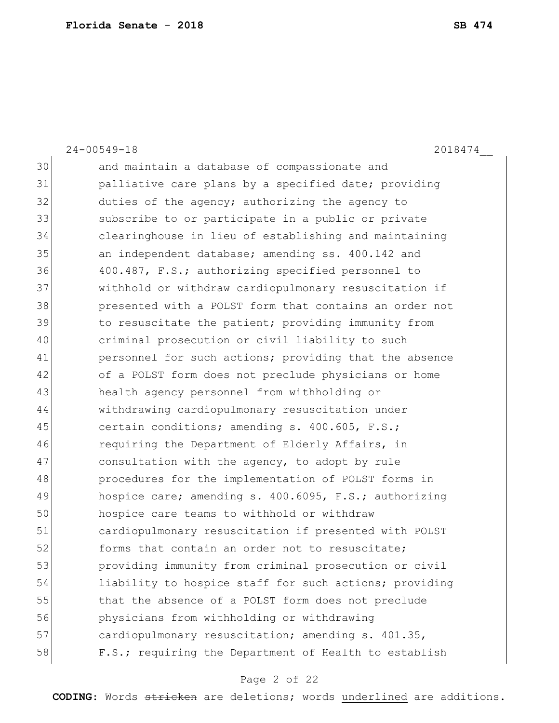|    | $24 - 00549 - 18$<br>2018474                           |
|----|--------------------------------------------------------|
| 30 | and maintain a database of compassionate and           |
| 31 | palliative care plans by a specified date; providing   |
| 32 | duties of the agency; authorizing the agency to        |
| 33 | subscribe to or participate in a public or private     |
| 34 | clearinghouse in lieu of establishing and maintaining  |
| 35 | an independent database; amending ss. 400.142 and      |
| 36 | 400.487, F.S.; authorizing specified personnel to      |
| 37 | withhold or withdraw cardiopulmonary resuscitation if  |
| 38 | presented with a POLST form that contains an order not |
| 39 | to resuscitate the patient; providing immunity from    |
| 40 | criminal prosecution or civil liability to such        |
| 41 | personnel for such actions; providing that the absence |
| 42 | of a POLST form does not preclude physicians or home   |
| 43 | health agency personnel from withholding or            |
| 44 | withdrawing cardiopulmonary resuscitation under        |
| 45 | certain conditions; amending s. 400.605, F.S.;         |
| 46 | requiring the Department of Elderly Affairs, in        |
| 47 | consultation with the agency, to adopt by rule         |
| 48 | procedures for the implementation of POLST forms in    |
| 49 | hospice care; amending s. 400.6095, F.S.; authorizing  |
| 50 | hospice care teams to withhold or withdraw             |
| 51 | cardiopulmonary resuscitation if presented with POLST  |
| 52 | forms that contain an order not to resuscitate;        |
| 53 | providing immunity from criminal prosecution or civil  |
| 54 | liability to hospice staff for such actions; providing |
| 55 | that the absence of a POLST form does not preclude     |
| 56 | physicians from withholding or withdrawing             |
| 57 | cardiopulmonary resuscitation; amending s. 401.35,     |
| 58 | F.S.; requiring the Department of Health to establish  |

# Page 2 of 22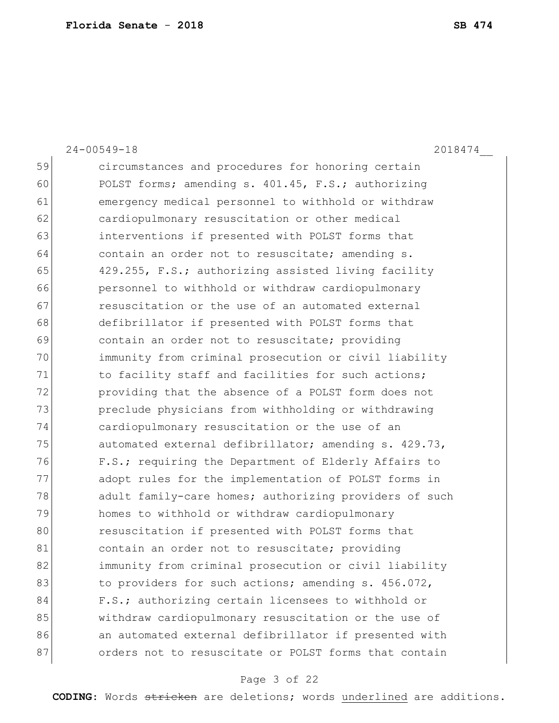|    | $24 - 00549 - 18$<br>2018474                           |
|----|--------------------------------------------------------|
| 59 | circumstances and procedures for honoring certain      |
| 60 | POLST forms; amending s. 401.45, F.S.; authorizing     |
| 61 | emergency medical personnel to withhold or withdraw    |
| 62 | cardiopulmonary resuscitation or other medical         |
| 63 | interventions if presented with POLST forms that       |
| 64 | contain an order not to resuscitate; amending s.       |
| 65 | 429.255, F.S.; authorizing assisted living facility    |
| 66 | personnel to withhold or withdraw cardiopulmonary      |
| 67 | resuscitation or the use of an automated external      |
| 68 | defibrillator if presented with POLST forms that       |
| 69 | contain an order not to resuscitate; providing         |
| 70 | immunity from criminal prosecution or civil liability  |
| 71 | to facility staff and facilities for such actions;     |
| 72 | providing that the absence of a POLST form does not    |
| 73 | preclude physicians from withholding or withdrawing    |
| 74 | cardiopulmonary resuscitation or the use of an         |
| 75 | automated external defibrillator; amending s. 429.73,  |
| 76 | F.S.; requiring the Department of Elderly Affairs to   |
| 77 | adopt rules for the implementation of POLST forms in   |
| 78 | adult family-care homes; authorizing providers of such |
| 79 | homes to withhold or withdraw cardiopulmonary          |
| 80 | resuscitation if presented with POLST forms that       |
| 81 | contain an order not to resuscitate; providing         |
| 82 | immunity from criminal prosecution or civil liability  |
| 83 | to providers for such actions; amending s. 456.072,    |
| 84 | F.S.; authorizing certain licensees to withhold or     |
| 85 | withdraw cardiopulmonary resuscitation or the use of   |
| 86 | an automated external defibrillator if presented with  |
| 87 | orders not to resuscitate or POLST forms that contain  |

# Page 3 of 22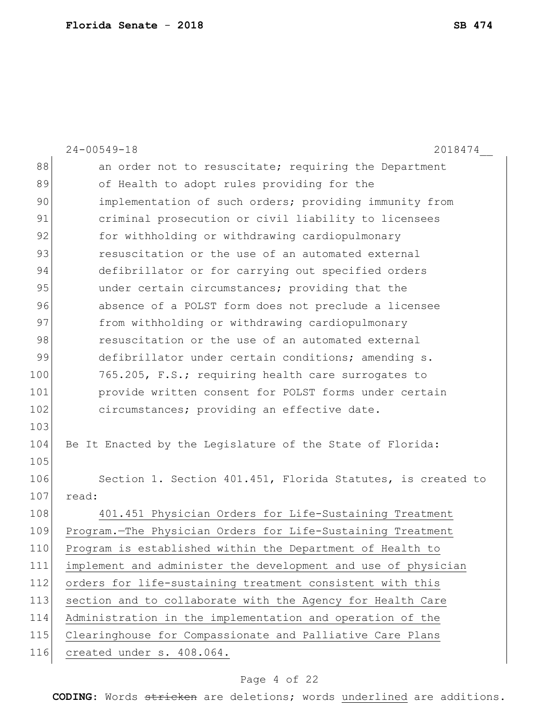|     | $24 - 00549 - 18$<br>2018474                                  |
|-----|---------------------------------------------------------------|
| 88  | an order not to resuscitate; requiring the Department         |
| 89  | of Health to adopt rules providing for the                    |
| 90  | implementation of such orders; providing immunity from        |
| 91  | criminal prosecution or civil liability to licensees          |
| 92  | for withholding or withdrawing cardiopulmonary                |
| 93  | resuscitation or the use of an automated external             |
| 94  | defibrillator or for carrying out specified orders            |
| 95  | under certain circumstances; providing that the               |
| 96  | absence of a POLST form does not preclude a licensee          |
| 97  | from withholding or withdrawing cardiopulmonary               |
| 98  | resuscitation or the use of an automated external             |
| 99  | defibrillator under certain conditions; amending s.           |
| 100 | 765.205, F.S.; requiring health care surrogates to            |
| 101 | provide written consent for POLST forms under certain         |
| 102 | circumstances; providing an effective date.                   |
| 103 |                                                               |
| 104 | Be It Enacted by the Legislature of the State of Florida:     |
| 105 |                                                               |
| 106 | Section 1. Section 401.451, Florida Statutes, is created to   |
| 107 | read:                                                         |
| 108 | 401.451 Physician Orders for Life-Sustaining Treatment        |
| 109 | Program.-The Physician Orders for Life-Sustaining Treatment   |
| 110 | Program is established within the Department of Health to     |
| 111 | implement and administer the development and use of physician |
| 112 | orders for life-sustaining treatment consistent with this     |
| 113 | section and to collaborate with the Agency for Health Care    |
| 114 | Administration in the implementation and operation of the     |
| 115 | Clearinghouse for Compassionate and Palliative Care Plans     |
| 116 | created under s. 408.064.                                     |

# Page 4 of 22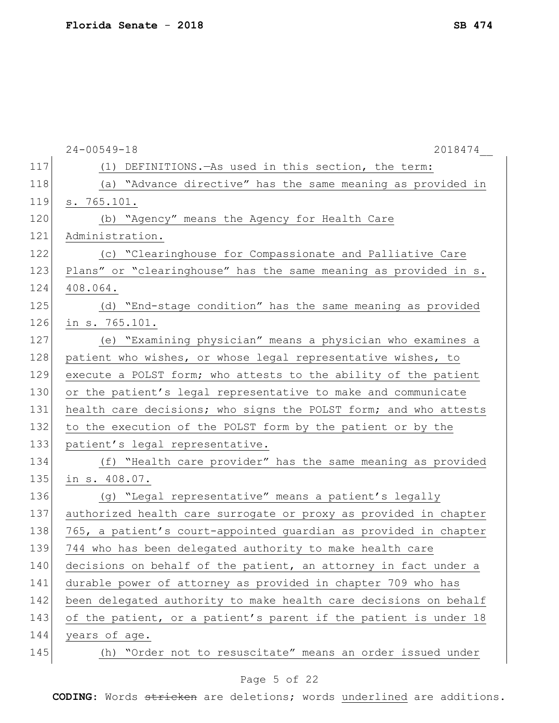|     | $24 - 00549 - 18$<br>2018474                                     |
|-----|------------------------------------------------------------------|
| 117 | (1) DEFINITIONS. As used in this section, the term:              |
| 118 | (a) "Advance directive" has the same meaning as provided in      |
| 119 | s. 765.101.                                                      |
| 120 | (b) "Agency" means the Agency for Health Care                    |
| 121 | Administration.                                                  |
| 122 | (c) "Clearinghouse for Compassionate and Palliative Care         |
| 123 | Plans" or "clearinghouse" has the same meaning as provided in s. |
| 124 | 408.064.                                                         |
| 125 | (d) "End-stage condition" has the same meaning as provided       |
| 126 | in s. 765.101.                                                   |
| 127 | (e) "Examining physician" means a physician who examines a       |
| 128 | patient who wishes, or whose legal representative wishes, to     |
| 129 | execute a POLST form; who attests to the ability of the patient  |
| 130 | or the patient's legal representative to make and communicate    |
| 131 | health care decisions; who signs the POLST form; and who attests |
| 132 | to the execution of the POLST form by the patient or by the      |
| 133 | patient's legal representative.                                  |
| 134 | (f) "Health care provider" has the same meaning as provided      |
| 135 | in s. 408.07.                                                    |
| 136 | (g) "Legal representative" means a patient's legally             |
| 137 | authorized health care surrogate or proxy as provided in chapter |
| 138 | 765, a patient's court-appointed guardian as provided in chapter |
| 139 | 744 who has been delegated authority to make health care         |
| 140 | decisions on behalf of the patient, an attorney in fact under a  |
| 141 | durable power of attorney as provided in chapter 709 who has     |
| 142 | been delegated authority to make health care decisions on behalf |
| 143 | of the patient, or a patient's parent if the patient is under 18 |
| 144 | years of age.                                                    |
| 145 | (h) "Order not to resuscitate" means an order issued under       |
|     |                                                                  |

# Page 5 of 22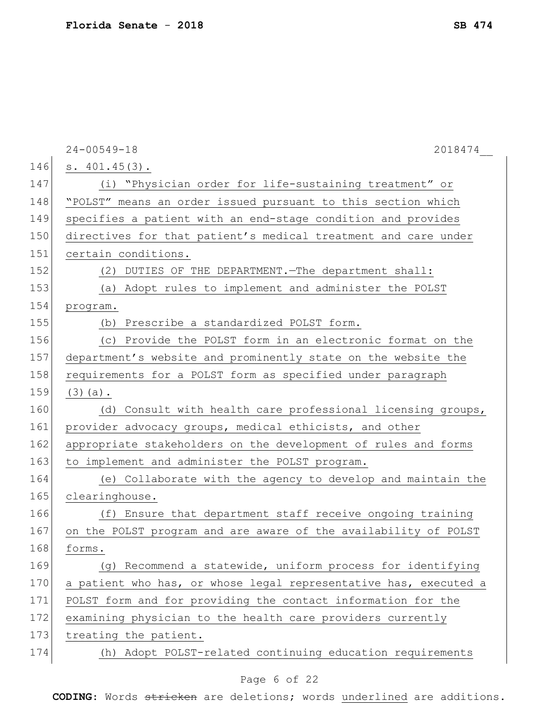|     | $24 - 00549 - 18$<br>2018474                                     |
|-----|------------------------------------------------------------------|
| 146 | s. 401.45(3).                                                    |
| 147 | (i) "Physician order for life-sustaining treatment" or           |
| 148 | "POLST" means an order issued pursuant to this section which     |
| 149 | specifies a patient with an end-stage condition and provides     |
| 150 | directives for that patient's medical treatment and care under   |
| 151 | certain conditions.                                              |
| 152 | (2) DUTIES OF THE DEPARTMENT. The department shall:              |
| 153 | (a) Adopt rules to implement and administer the POLST            |
| 154 | program.                                                         |
| 155 | (b) Prescribe a standardized POLST form.                         |
| 156 | (c) Provide the POLST form in an electronic format on the        |
| 157 | department's website and prominently state on the website the    |
| 158 | requirements for a POLST form as specified under paragraph       |
| 159 | $(3)$ (a).                                                       |
| 160 | (d) Consult with health care professional licensing groups,      |
| 161 | provider advocacy groups, medical ethicists, and other           |
| 162 | appropriate stakeholders on the development of rules and forms   |
| 163 | to implement and administer the POLST program.                   |
| 164 | (e) Collaborate with the agency to develop and maintain the      |
| 165 | clearinghouse.                                                   |
| 166 | (f) Ensure that department staff receive ongoing training        |
| 167 | on the POLST program and are aware of the availability of POLST  |
| 168 | forms.                                                           |
| 169 | (g) Recommend a statewide, uniform process for identifying       |
| 170 | a patient who has, or whose legal representative has, executed a |
| 171 | POLST form and for providing the contact information for the     |
| 172 | examining physician to the health care providers currently       |
| 173 | treating the patient.                                            |
| 174 | (h) Adopt POLST-related continuing education requirements        |
|     |                                                                  |

# Page 6 of 22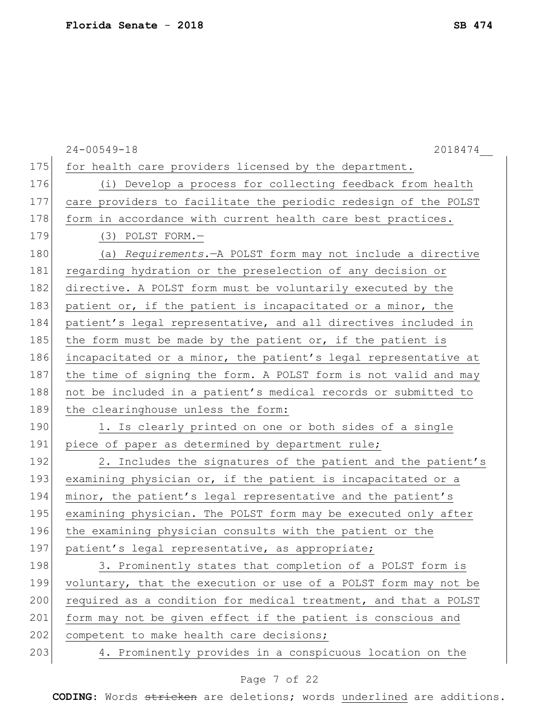|     | $24 - 00549 - 18$<br>2018474                                    |
|-----|-----------------------------------------------------------------|
| 175 | for health care providers licensed by the department.           |
| 176 | (i) Develop a process for collecting feedback from health       |
| 177 | care providers to facilitate the periodic redesign of the POLST |
| 178 | form in accordance with current health care best practices.     |
| 179 | $(3)$ POLST FORM. $-$                                           |
| 180 | (a) Requirements. - A POLST form may not include a directive    |
| 181 | regarding hydration or the preselection of any decision or      |
| 182 | directive. A POLST form must be voluntarily executed by the     |
| 183 | patient or, if the patient is incapacitated or a minor, the     |
| 184 | patient's legal representative, and all directives included in  |
| 185 | the form must be made by the patient or, if the patient is      |
| 186 | incapacitated or a minor, the patient's legal representative at |
| 187 | the time of signing the form. A POLST form is not valid and may |
| 188 | not be included in a patient's medical records or submitted to  |
| 189 | the clearinghouse unless the form:                              |
| 190 | 1. Is clearly printed on one or both sides of a single          |
| 191 | piece of paper as determined by department rule;                |
| 192 | 2. Includes the signatures of the patient and the patient's     |
| 193 | examining physician or, if the patient is incapacitated or a    |
| 194 | minor, the patient's legal representative and the patient's     |
| 195 | examining physician. The POLST form may be executed only after  |
| 196 | the examining physician consults with the patient or the        |
| 197 | patient's legal representative, as appropriate;                 |
| 198 | 3. Prominently states that completion of a POLST form is        |
| 199 | voluntary, that the execution or use of a POLST form may not be |
| 200 | required as a condition for medical treatment, and that a POLST |
| 201 | form may not be given effect if the patient is conscious and    |
| 202 | competent to make health care decisions;                        |
| 203 | 4. Prominently provides in a conspicuous location on the        |

# Page 7 of 22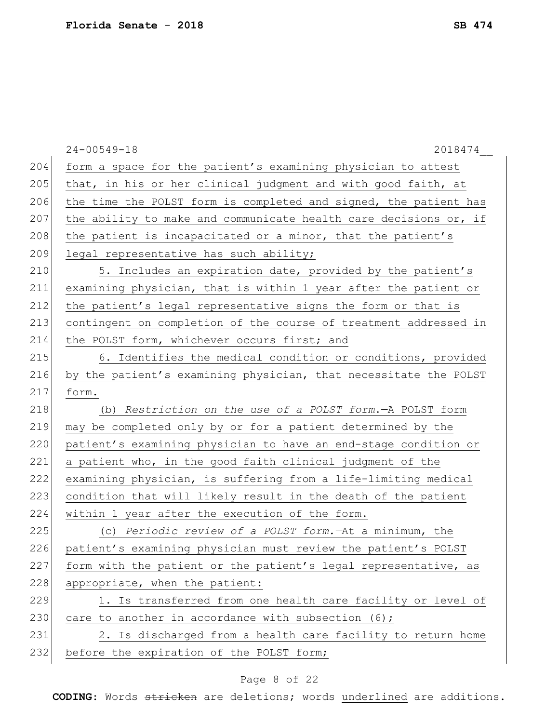|     | $24 - 00549 - 18$<br>2018474                                     |
|-----|------------------------------------------------------------------|
| 204 | form a space for the patient's examining physician to attest     |
| 205 | that, in his or her clinical judgment and with good faith, at    |
| 206 | the time the POLST form is completed and signed, the patient has |
| 207 | the ability to make and communicate health care decisions or, if |
| 208 | the patient is incapacitated or a minor, that the patient's      |
| 209 | legal representative has such ability;                           |
| 210 | 5. Includes an expiration date, provided by the patient's        |
| 211 | examining physician, that is within 1 year after the patient or  |
| 212 | the patient's legal representative signs the form or that is     |
| 213 | contingent on completion of the course of treatment addressed in |
| 214 | the POLST form, whichever occurs first; and                      |
| 215 | 6. Identifies the medical condition or conditions, provided      |
| 216 | by the patient's examining physician, that necessitate the POLST |
| 217 | form.                                                            |
| 218 | (b) Restriction on the use of a POLST form. - A POLST form       |
| 219 | may be completed only by or for a patient determined by the      |
| 220 | patient's examining physician to have an end-stage condition or  |
| 221 | a patient who, in the good faith clinical judgment of the        |
| 222 | examining physician, is suffering from a life-limiting medical   |
| 223 | condition that will likely result in the death of the patient    |
| 224 | within 1 year after the execution of the form.                   |
| 225 | (c) Periodic review of a POLST form. At a minimum, the           |
| 226 | patient's examining physician must review the patient's POLST    |
| 227 | form with the patient or the patient's legal representative, as  |
| 228 | appropriate, when the patient:                                   |
| 229 | 1. Is transferred from one health care facility or level of      |
| 230 | care to another in accordance with subsection (6);               |
| 231 | 2. Is discharged from a health care facility to return home      |
| 232 | before the expiration of the POLST form;                         |

# Page 8 of 22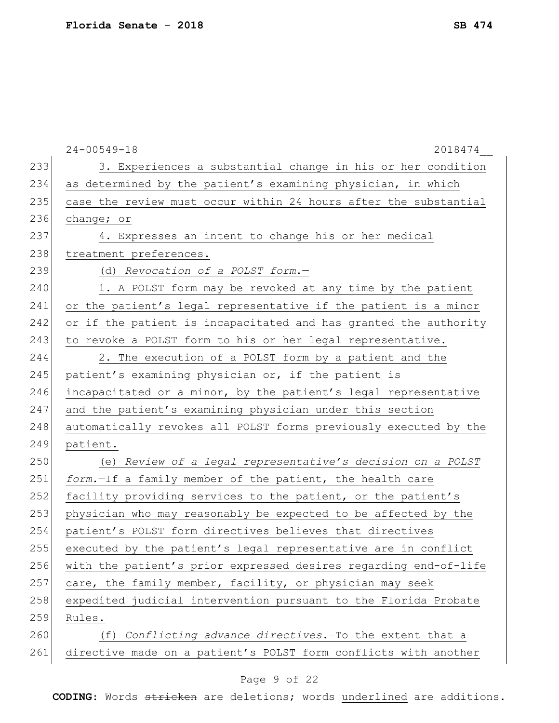|     | $24 - 00549 - 18$<br>2018474                                     |
|-----|------------------------------------------------------------------|
| 233 | 3. Experiences a substantial change in his or her condition      |
| 234 | as determined by the patient's examining physician, in which     |
| 235 | case the review must occur within 24 hours after the substantial |
| 236 | change; or                                                       |
| 237 | 4. Expresses an intent to change his or her medical              |
| 238 | treatment preferences.                                           |
| 239 | (d) Revocation of a POLST form.-                                 |
| 240 | 1. A POLST form may be revoked at any time by the patient        |
| 241 | or the patient's legal representative if the patient is a minor  |
| 242 | or if the patient is incapacitated and has granted the authority |
| 243 | to revoke a POLST form to his or her legal representative.       |
| 244 | 2. The execution of a POLST form by a patient and the            |
| 245 | patient's examining physician or, if the patient is              |
| 246 | incapacitated or a minor, by the patient's legal representative  |
| 247 | and the patient's examining physician under this section         |
| 248 | automatically revokes all POLST forms previously executed by the |
| 249 | patient.                                                         |
| 250 | (e) Review of a legal representative's decision on a POLST       |
| 251 | form.-If a family member of the patient, the health care         |
| 252 | facility providing services to the patient, or the patient's     |
| 253 | physician who may reasonably be expected to be affected by the   |
| 254 | patient's POLST form directives believes that directives         |
| 255 | executed by the patient's legal representative are in conflict   |
| 256 | with the patient's prior expressed desires regarding end-of-life |
| 257 | care, the family member, facility, or physician may seek         |
| 258 | expedited judicial intervention pursuant to the Florida Probate  |
| 259 | Rules.                                                           |
| 260 | Conflicting advance directives. To the extent that a<br>(f)      |
| 261 | directive made on a patient's POLST form conflicts with another  |

# Page 9 of 22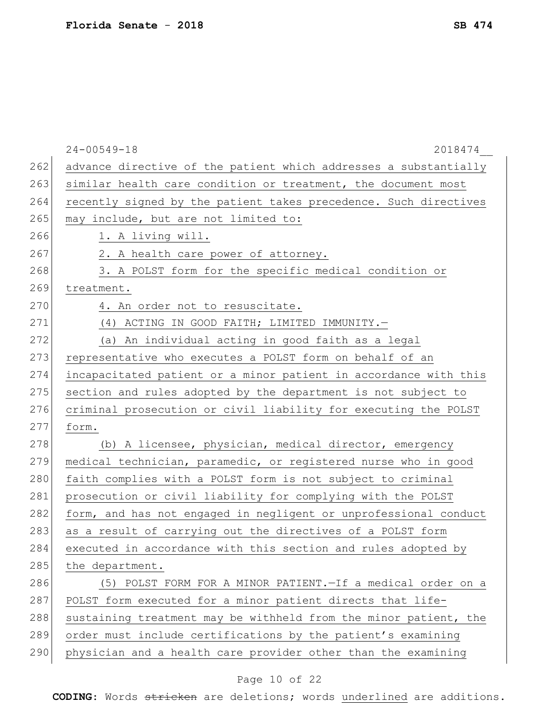|     | $24 - 00549 - 18$<br>2018474                                     |
|-----|------------------------------------------------------------------|
| 262 | advance directive of the patient which addresses a substantially |
| 263 | similar health care condition or treatment, the document most    |
| 264 | recently signed by the patient takes precedence. Such directives |
| 265 | may include, but are not limited to:                             |
| 266 | 1. A living will.                                                |
| 267 | 2. A health care power of attorney.                              |
| 268 | 3. A POLST form for the specific medical condition or            |
| 269 | treatment.                                                       |
| 270 | 4. An order not to resuscitate.                                  |
| 271 | (4) ACTING IN GOOD FAITH; LIMITED IMMUNITY.-                     |
| 272 | (a) An individual acting in good faith as a legal                |
| 273 | representative who executes a POLST form on behalf of an         |
| 274 | incapacitated patient or a minor patient in accordance with this |
| 275 | section and rules adopted by the department is not subject to    |
| 276 | criminal prosecution or civil liability for executing the POLST  |
| 277 | form.                                                            |
| 278 | (b) A licensee, physician, medical director, emergency           |
| 279 | medical technician, paramedic, or registered nurse who in good   |
| 280 | faith complies with a POLST form is not subject to criminal      |
| 281 | prosecution or civil liability for complying with the POLST      |
| 282 | form, and has not engaged in negligent or unprofessional conduct |
| 283 | as a result of carrying out the directives of a POLST form       |
| 284 | executed in accordance with this section and rules adopted by    |
| 285 | the department.                                                  |
| 286 | (5) POLST FORM FOR A MINOR PATIENT. - If a medical order on a    |
| 287 | POLST form executed for a minor patient directs that life-       |
| 288 | sustaining treatment may be withheld from the minor patient, the |
| 289 | order must include certifications by the patient's examining     |
| 290 | physician and a health care provider other than the examining    |
|     |                                                                  |

# Page 10 of 22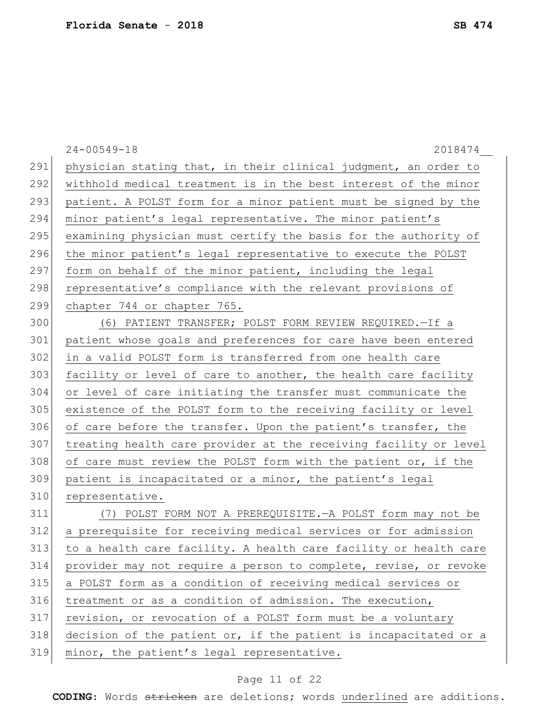|     | $24 - 00549 - 18$<br>2018474                                     |
|-----|------------------------------------------------------------------|
| 291 | physician stating that, in their clinical judgment, an order to  |
| 292 | withhold medical treatment is in the best interest of the minor  |
| 293 | patient. A POLST form for a minor patient must be signed by the  |
| 294 | minor patient's legal representative. The minor patient's        |
| 295 | examining physician must certify the basis for the authority of  |
| 296 | the minor patient's legal representative to execute the POLST    |
| 297 | form on behalf of the minor patient, including the legal         |
| 298 | representative's compliance with the relevant provisions of      |
| 299 | chapter 744 or chapter 765.                                      |
| 300 | (6) PATIENT TRANSFER; POLST FORM REVIEW REQUIRED. - If a         |
| 301 | patient whose goals and preferences for care have been entered   |
| 302 | in a valid POLST form is transferred from one health care        |
| 303 | facility or level of care to another, the health care facility   |
| 304 | or level of care initiating the transfer must communicate the    |
| 305 | existence of the POLST form to the receiving facility or level   |
| 306 | of care before the transfer. Upon the patient's transfer, the    |
| 307 | treating health care provider at the receiving facility or level |
| 308 | of care must review the POLST form with the patient or, if the   |
| 309 | patient is incapacitated or a minor, the patient's legal         |
| 310 | representative.                                                  |
| 311 | (7) POLST FORM NOT A PREREQUISITE. - A POLST form may not be     |
| 312 | a prerequisite for receiving medical services or for admission   |
| 313 | to a health care facility. A health care facility or health care |
| 314 | provider may not require a person to complete, revise, or revoke |
| 315 | a POLST form as a condition of receiving medical services or     |
| 316 | treatment or as a condition of admission. The execution,         |
| 317 | revision, or revocation of a POLST form must be a voluntary      |
| 318 | decision of the patient or, if the patient is incapacitated or a |
| 319 | minor, the patient's legal representative.                       |
|     |                                                                  |

# Page 11 of 22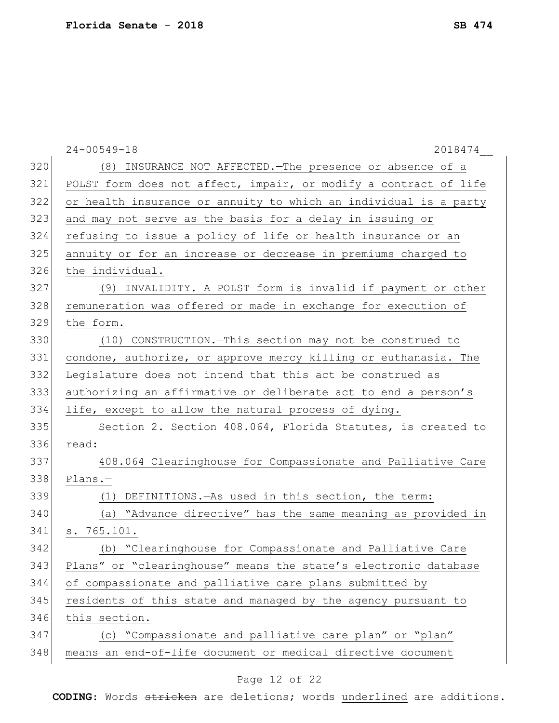|     | $24 - 00549 - 18$<br>2018474                                     |
|-----|------------------------------------------------------------------|
| 320 | (8) INSURANCE NOT AFFECTED. The presence or absence of a         |
| 321 | POLST form does not affect, impair, or modify a contract of life |
| 322 | or health insurance or annuity to which an individual is a party |
| 323 | and may not serve as the basis for a delay in issuing or         |
| 324 | refusing to issue a policy of life or health insurance or an     |
| 325 | annuity or for an increase or decrease in premiums charged to    |
| 326 | the individual.                                                  |
| 327 | (9) INVALIDITY. - A POLST form is invalid if payment or other    |
| 328 | remuneration was offered or made in exchange for execution of    |
| 329 | the form.                                                        |
| 330 | (10) CONSTRUCTION. - This section may not be construed to        |
| 331 | condone, authorize, or approve mercy killing or euthanasia. The  |
| 332 | Legislature does not intend that this act be construed as        |
| 333 | authorizing an affirmative or deliberate act to end a person's   |
| 334 | life, except to allow the natural process of dying.              |
| 335 | Section 2. Section 408.064, Florida Statutes, is created to      |
| 336 | read:                                                            |
| 337 | 408.064 Clearinghouse for Compassionate and Palliative Care      |
| 338 | $Plans. -$                                                       |
| 339 | DEFINITIONS. - As used in this section, the term:<br>(1)         |
| 340 | (a) "Advance directive" has the same meaning as provided in      |
| 341 | s. 765.101.                                                      |
| 342 | (b) "Clearinghouse for Compassionate and Palliative Care         |
| 343 | Plans" or "clearinghouse" means the state's electronic database  |
| 344 | of compassionate and palliative care plans submitted by          |
| 345 | residents of this state and managed by the agency pursuant to    |
| 346 | this section.                                                    |
| 347 | (c) "Compassionate and palliative care plan" or "plan"           |
| 348 | means an end-of-life document or medical directive document      |
|     |                                                                  |

# Page 12 of 22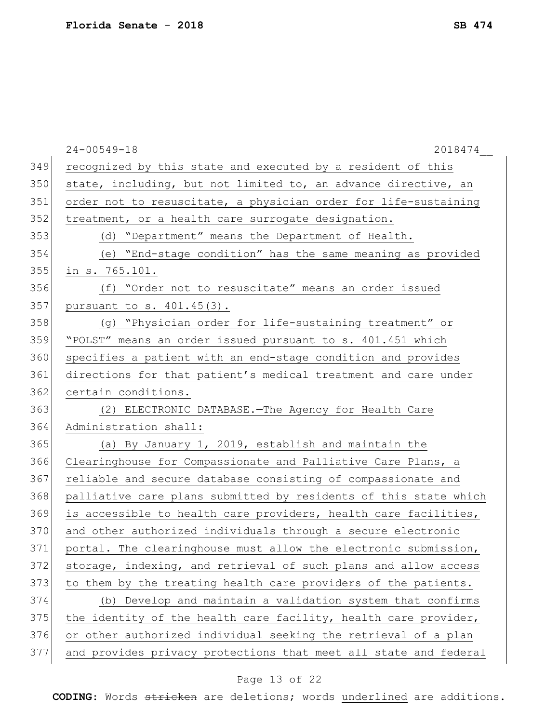|     | $24 - 00549 - 18$<br>2018474                                     |
|-----|------------------------------------------------------------------|
| 349 | recognized by this state and executed by a resident of this      |
| 350 | state, including, but not limited to, an advance directive, an   |
| 351 | order not to resuscitate, a physician order for life-sustaining  |
| 352 | treatment, or a health care surrogate designation.               |
| 353 | (d) "Department" means the Department of Health.                 |
| 354 | (e) "End-stage condition" has the same meaning as provided       |
| 355 | in s. 765.101.                                                   |
| 356 | (f) "Order not to resuscitate" means an order issued             |
| 357 | pursuant to s. 401.45(3).                                        |
| 358 | (g) "Physician order for life-sustaining treatment" or           |
| 359 | "POLST" means an order issued pursuant to s. 401.451 which       |
| 360 | specifies a patient with an end-stage condition and provides     |
| 361 | directions for that patient's medical treatment and care under   |
| 362 | certain conditions.                                              |
| 363 | (2) ELECTRONIC DATABASE. The Agency for Health Care              |
| 364 | Administration shall:                                            |
| 365 | (a) By January 1, 2019, establish and maintain the               |
| 366 | Clearinghouse for Compassionate and Palliative Care Plans, a     |
| 367 | reliable and secure database consisting of compassionate and     |
| 368 | palliative care plans submitted by residents of this state which |
| 369 | is accessible to health care providers, health care facilities,  |
| 370 | and other authorized individuals through a secure electronic     |
| 371 | portal. The clearinghouse must allow the electronic submission,  |
| 372 | storage, indexing, and retrieval of such plans and allow access  |
| 373 | to them by the treating health care providers of the patients.   |
| 374 | (b) Develop and maintain a validation system that confirms       |
| 375 | the identity of the health care facility, health care provider,  |
| 376 | or other authorized individual seeking the retrieval of a plan   |
| 377 | and provides privacy protections that meet all state and federal |
|     |                                                                  |

# Page 13 of 22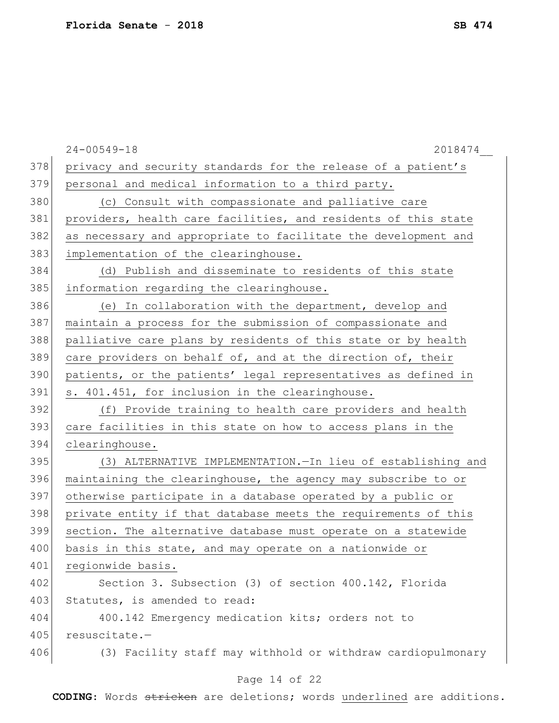|     | $24 - 00549 - 18$<br>2018474                                   |
|-----|----------------------------------------------------------------|
| 378 | privacy and security standards for the release of a patient's  |
| 379 | personal and medical information to a third party.             |
| 380 | (c) Consult with compassionate and palliative care             |
| 381 | providers, health care facilities, and residents of this state |
| 382 | as necessary and appropriate to facilitate the development and |
| 383 | implementation of the clearinghouse.                           |
| 384 | (d) Publish and disseminate to residents of this state         |
| 385 | information regarding the clearinghouse.                       |
| 386 | (e) In collaboration with the department, develop and          |
| 387 | maintain a process for the submission of compassionate and     |
| 388 | palliative care plans by residents of this state or by health  |
| 389 | care providers on behalf of, and at the direction of, their    |
| 390 | patients, or the patients' legal representatives as defined in |
| 391 | s. 401.451, for inclusion in the clearinghouse.                |
| 392 | (f) Provide training to health care providers and health       |
| 393 | care facilities in this state on how to access plans in the    |
| 394 | clearinghouse.                                                 |
| 395 | (3) ALTERNATIVE IMPLEMENTATION. In lieu of establishing and    |
| 396 | maintaining the clearinghouse, the agency may subscribe to or  |
| 397 | otherwise participate in a database operated by a public or    |
| 398 | private entity if that database meets the requirements of this |
| 399 | section. The alternative database must operate on a statewide  |
| 400 | basis in this state, and may operate on a nationwide or        |
| 401 | regionwide basis.                                              |
| 402 | Section 3. Subsection (3) of section 400.142, Florida          |
| 403 | Statutes, is amended to read:                                  |
| 404 | 400.142 Emergency medication kits; orders not to               |
| 405 | resuscitate.-                                                  |
| 406 | (3) Facility staff may withhold or withdraw cardiopulmonary    |
|     | Page 14 of 22                                                  |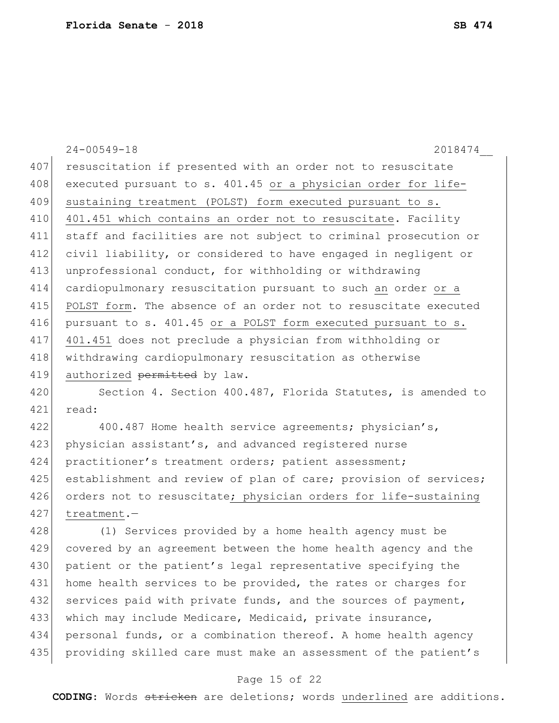|     | $24 - 00549 - 18$<br>2018474                                     |
|-----|------------------------------------------------------------------|
| 407 | resuscitation if presented with an order not to resuscitate      |
| 408 | executed pursuant to s. 401.45 or a physician order for life-    |
| 409 | sustaining treatment (POLST) form executed pursuant to s.        |
| 410 | 401.451 which contains an order not to resuscitate. Facility     |
| 411 | staff and facilities are not subject to criminal prosecution or  |
| 412 | civil liability, or considered to have engaged in negligent or   |
| 413 | unprofessional conduct, for withholding or withdrawing           |
| 414 | cardiopulmonary resuscitation pursuant to such an order or a     |
| 415 | POLST form. The absence of an order not to resuscitate executed  |
| 416 | pursuant to s. 401.45 or a POLST form executed pursuant to s.    |
| 417 | 401.451 does not preclude a physician from withholding or        |
| 418 | withdrawing cardiopulmonary resuscitation as otherwise           |
| 419 | authorized permitted by law.                                     |
| 420 | Section 4. Section 400.487, Florida Statutes, is amended to      |
| 421 | read:                                                            |
| 422 | 400.487 Home health service agreements; physician's,             |
| 423 | physician assistant's, and advanced registered nurse             |
| 424 | practitioner's treatment orders; patient assessment;             |
| 425 | establishment and review of plan of care; provision of services; |
| 426 | orders not to resuscitate; physician orders for life-sustaining  |
| 427 | treatment.-                                                      |
| 428 | (1) Services provided by a home health agency must be            |
| 429 | covered by an agreement between the home health agency and the   |
| 430 | patient or the patient's legal representative specifying the     |
| 431 | home health services to be provided, the rates or charges for    |
| 432 | services paid with private funds, and the sources of payment,    |
| 433 | which may include Medicare, Medicaid, private insurance,         |
| 434 | personal funds, or a combination thereof. A home health agency   |

#### Page 15 of 22

435 providing skilled care must make an assessment of the patient's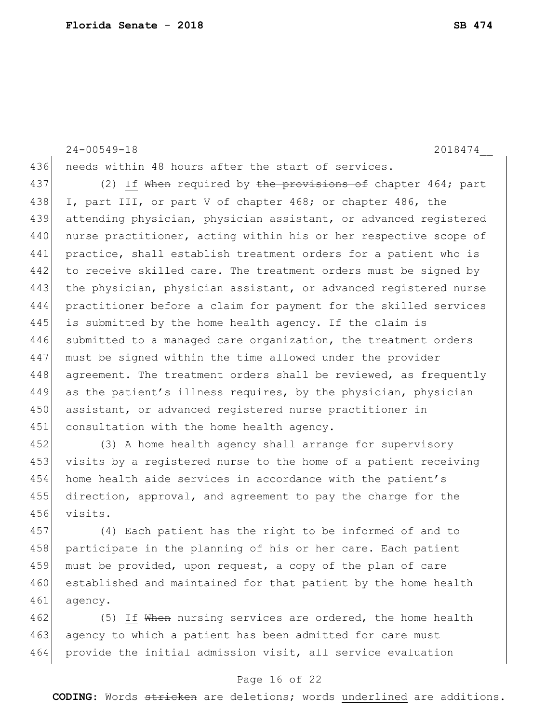24-00549-18 2018474\_\_ 436 needs within 48 hours after the start of services. 437 (2) If When required by the provisions of chapter 464; part 438 I, part III, or part V of chapter 468; or chapter 486, the 439 attending physician, physician assistant, or advanced registered 440 nurse practitioner, acting within his or her respective scope of 441 practice, shall establish treatment orders for a patient who is 442 to receive skilled care. The treatment orders must be signed by 443 the physician, physician assistant, or advanced registered nurse 444 practitioner before a claim for payment for the skilled services

445 is submitted by the home health agency. If the claim is

447 must be signed within the time allowed under the provider

450 assistant, or advanced registered nurse practitioner in

446 submitted to a managed care organization, the treatment orders

448 agreement. The treatment orders shall be reviewed, as frequently 449 as the patient's illness requires, by the physician, physician

451 consultation with the home health agency. 452 (3) A home health agency shall arrange for supervisory 453 visits by a registered nurse to the home of a patient receiving 454 home health aide services in accordance with the patient's 455 direction, approval, and agreement to pay the charge for the 456 visits.

457 (4) Each patient has the right to be informed of and to 458 | participate in the planning of his or her care. Each patient 459 must be provided, upon request, a copy of the plan of care 460 established and maintained for that patient by the home health 461 agency.

462 (5) If When nursing services are ordered, the home health 463 agency to which a patient has been admitted for care must 464 provide the initial admission visit, all service evaluation

#### Page 16 of 22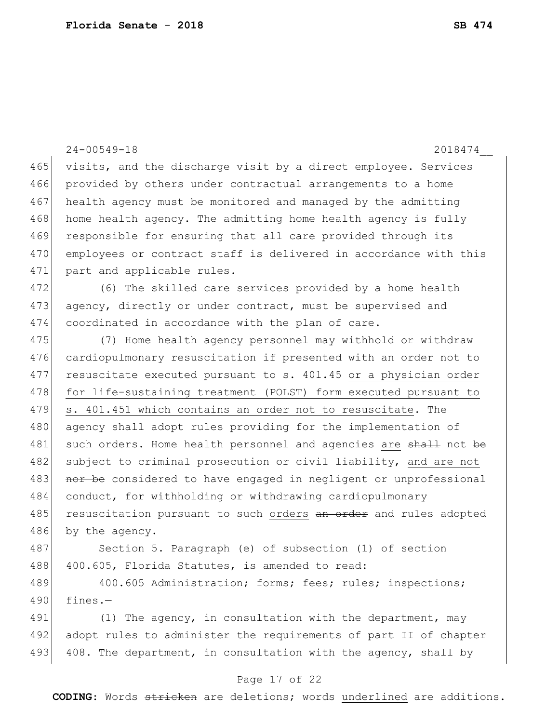|     | $24 - 00549 - 18$<br>2018474                                     |
|-----|------------------------------------------------------------------|
| 465 | visits, and the discharge visit by a direct employee. Services   |
| 466 | provided by others under contractual arrangements to a home      |
| 467 | health agency must be monitored and managed by the admitting     |
| 468 | home health agency. The admitting home health agency is fully    |
| 469 | responsible for ensuring that all care provided through its      |
| 470 | employees or contract staff is delivered in accordance with this |
| 471 | part and applicable rules.                                       |
| 472 | (6) The skilled care services provided by a home health          |
| 473 | agency, directly or under contract, must be supervised and       |
| 474 | coordinated in accordance with the plan of care.                 |
| 475 | (7) Home health agency personnel may withhold or withdraw        |
| 476 | cardiopulmonary resuscitation if presented with an order not to  |
| 477 | resuscitate executed pursuant to s. 401.45 or a physician order  |
| 478 | for life-sustaining treatment (POLST) form executed pursuant to  |
| 479 | s. 401.451 which contains an order not to resuscitate. The       |
| 480 | agency shall adopt rules providing for the implementation of     |
| 481 | such orders. Home health personnel and agencies are shall not be |
| 482 | subject to criminal prosecution or civil liability, and are not  |
| 483 | nor be considered to have engaged in negligent or unprofessional |
| 484 | conduct, for withholding or withdrawing cardiopulmonary          |
| 485 | resuscitation pursuant to such orders an order and rules adopted |
| 486 | by the agency.                                                   |
| 487 | Section 5. Paragraph (e) of subsection (1) of section            |
| 488 | 400.605, Florida Statutes, is amended to read:                   |
| 489 | 400.605 Administration; forms; fees; rules; inspections;         |
| 490 | fines. $-$                                                       |
| 491 | (1) The agency, in consultation with the department, may         |
| 492 | adopt rules to administer the requirements of part II of chapter |
| 493 | 408. The department, in consultation with the agency, shall by   |

# Page 17 of 22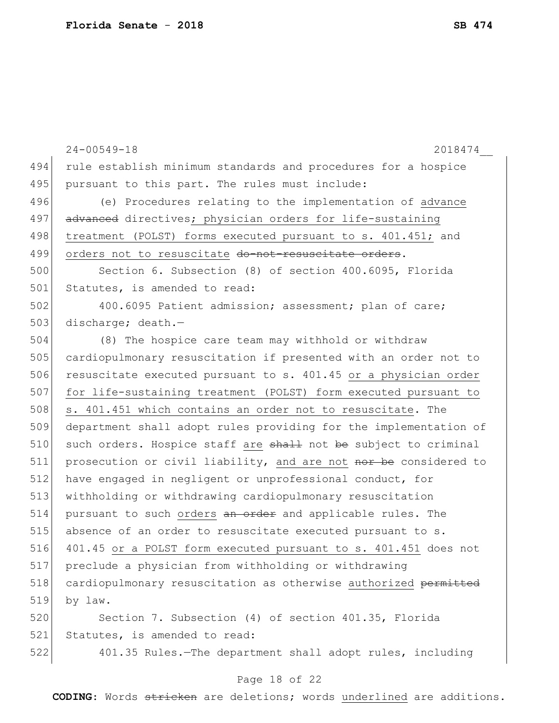24-00549-18 2018474\_\_ 494 rule establish minimum standards and procedures for a hospice 495 pursuant to this part. The rules must include: 496 (e) Procedures relating to the implementation of advance 497 advanced directives; physician orders for life-sustaining 498 treatment (POLST) forms executed pursuant to s. 401.451; and 499 orders not to resuscitate do-not-resuscitate orders. 500 Section 6. Subsection (8) of section 400.6095, Florida 501 Statutes, is amended to read: 502 400.6095 Patient admission; assessment; plan of care; 503 discharge; death.-504 (8) The hospice care team may withhold or withdraw 505 cardiopulmonary resuscitation if presented with an order not to 506 resuscitate executed pursuant to s. 401.45 or a physician order 507 for life-sustaining treatment (POLST) form executed pursuant to 508 s. 401.451 which contains an order not to resuscitate. The 509 department shall adopt rules providing for the implementation of  $510$  such orders. Hospice staff are  $shath$  not be subject to criminal 511 prosecution or civil liability, and are not nor be considered to 512 have engaged in negligent or unprofessional conduct, for 513 withholding or withdrawing cardiopulmonary resuscitation 514 pursuant to such orders an order and applicable rules. The 515 absence of an order to resuscitate executed pursuant to s. 516 401.45 or a POLST form executed pursuant to s. 401.451 does not 517 preclude a physician from withholding or withdrawing 518 cardiopulmonary resuscitation as otherwise authorized permitted 519 by law. 520 Section 7. Subsection (4) of section 401.35, Florida 521 Statutes, is amended to read: 522 401.35 Rules.—The department shall adopt rules, including

#### Page 18 of 22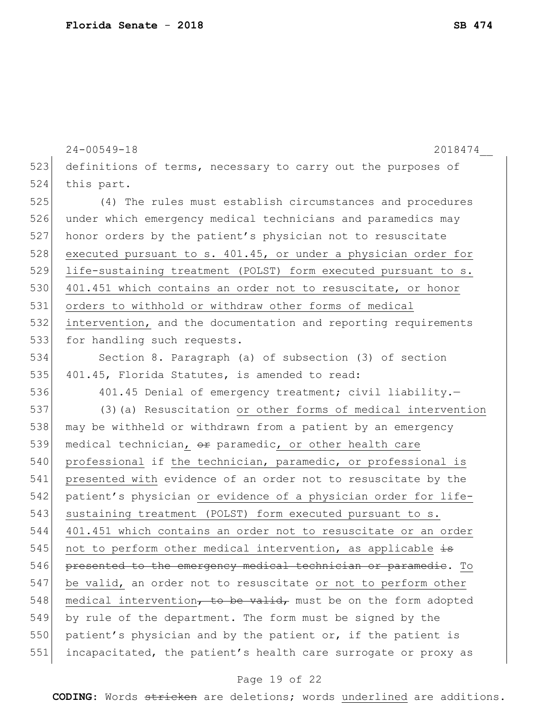|     | $24 - 00549 - 18$<br>2018474                                   |
|-----|----------------------------------------------------------------|
| 523 | definitions of terms, necessary to carry out the purposes of   |
| 524 | this part.                                                     |
| 525 | (4) The rules must establish circumstances and procedures      |
| 526 | under which emergency medical technicians and paramedics may   |
| 527 | honor orders by the patient's physician not to resuscitate     |
| 528 | executed pursuant to s. 401.45, or under a physician order for |
| 529 | life-sustaining treatment (POLST) form executed pursuant to s. |
| 530 | 401.451 which contains an order not to resuscitate, or honor   |
| 531 | orders to withhold or withdraw other forms of medical          |
| 532 | intervention, and the documentation and reporting requirements |
| 533 | for handling such requests.                                    |
| 534 | Section 8. Paragraph (a) of subsection (3) of section          |
| 535 | 401.45, Florida Statutes, is amended to read:                  |
| 536 | 401.45 Denial of emergency treatment; civil liability.-        |
| 537 | (3) (a) Resuscitation or other forms of medical intervention   |
| 538 | may be withheld or withdrawn from a patient by an emergency    |
| 539 | medical technician, or paramedic, or other health care         |
| 540 | professional if the technician, paramedic, or professional is  |
| 541 | presented with evidence of an order not to resuscitate by the  |
| 542 | patient's physician or evidence of a physician order for life- |
| 543 | sustaining treatment (POLST) form executed pursuant to s.      |
| 544 | 401.451 which contains an order not to resuscitate or an order |
| 545 | not to perform other medical intervention, as applicable is    |
| 546 | presented to the emergency medical technician or paramedic. To |
| 547 | be valid, an order not to resuscitate or not to perform other  |
| 548 | medical intervention, to be valid, must be on the form adopted |
| 549 | by rule of the department. The form must be signed by the      |
| 550 | patient's physician and by the patient or, if the patient is   |
| 551 | incapacitated, the patient's health care surrogate or proxy as |

# Page 19 of 22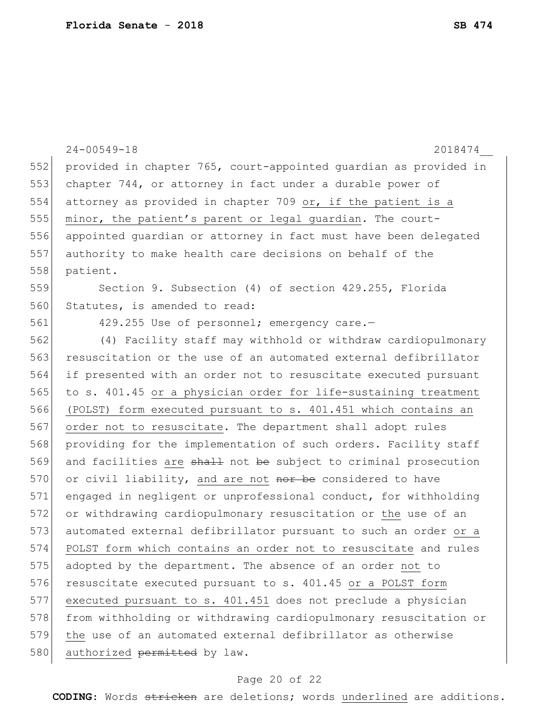|     | $24 - 00549 - 18$<br>2018474                                     |
|-----|------------------------------------------------------------------|
| 552 | provided in chapter 765, court-appointed quardian as provided in |
| 553 | chapter 744, or attorney in fact under a durable power of        |
| 554 | attorney as provided in chapter 709 or, if the patient is a      |
| 555 | minor, the patient's parent or legal guardian. The court-        |
| 556 | appointed quardian or attorney in fact must have been delegated  |
| 557 | authority to make health care decisions on behalf of the         |
| 558 | patient.                                                         |
| 559 | Section 9. Subsection (4) of section 429.255, Florida            |
| 560 | Statutes, is amended to read:                                    |
| 561 | 429.255 Use of personnel; emergency care.-                       |
| 562 | (4) Facility staff may withhold or withdraw cardiopulmonary      |
| 563 | resuscitation or the use of an automated external defibrillator  |
| 564 | if presented with an order not to resuscitate executed pursuant  |
| 565 | to s. 401.45 or a physician order for life-sustaining treatment  |
| 566 | (POLST) form executed pursuant to s. 401.451 which contains an   |
| 567 | order not to resuscitate. The department shall adopt rules       |
| 568 | providing for the implementation of such orders. Facility staff  |
| 569 | and facilities are shall not be subject to criminal prosecution  |
| 570 | or civil liability, and are not nor be considered to have        |
| 571 | engaged in negligent or unprofessional conduct, for withholding  |
| 572 | or withdrawing cardiopulmonary resuscitation or the use of an    |
| 573 | automated external defibrillator pursuant to such an order or a  |
| 574 | POLST form which contains an order not to resuscitate and rules  |
| 575 | adopted by the department. The absence of an order not to        |
| 576 | resuscitate executed pursuant to s. 401.45 or a POLST form       |
| 577 | executed pursuant to s. 401.451 does not preclude a physician    |
| 578 | from withholding or withdrawing cardiopulmonary resuscitation or |
| 579 | the use of an automated external defibrillator as otherwise      |
| 580 | authorized permitted by law.                                     |

# Page 20 of 22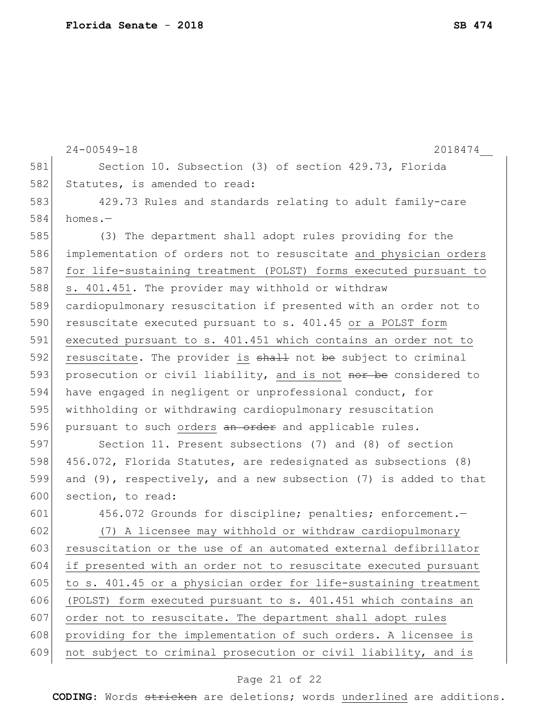24-00549-18 2018474\_\_ 581 Section 10. Subsection (3) of section 429.73, Florida 582 Statutes, is amended to read: 583 429.73 Rules and standards relating to adult family-care 584 homes.— 585 (3) The department shall adopt rules providing for the 586 implementation of orders not to resuscitate and physician orders 587 for life-sustaining treatment (POLST) forms executed pursuant to 588 s. 401.451. The provider may withhold or withdraw 589 cardiopulmonary resuscitation if presented with an order not to 590 resuscitate executed pursuant to s. 401.45 or a POLST form 591 executed pursuant to s. 401.451 which contains an order not to 592 resuscitate. The provider is  $shall$  not be subject to criminal 593 prosecution or civil liability, and is not nor be considered to 594 have engaged in negligent or unprofessional conduct, for 595 withholding or withdrawing cardiopulmonary resuscitation 596 pursuant to such orders an order and applicable rules. 597 Section 11. Present subsections (7) and (8) of section 598 456.072, Florida Statutes, are redesignated as subsections (8) 599 and (9), respectively, and a new subsection (7) is added to that 600 section, to read: 601 456.072 Grounds for discipline; penalties; enforcement. 602 (7) A licensee may withhold or withdraw cardiopulmonary 603 resuscitation or the use of an automated external defibrillator 604 if presented with an order not to resuscitate executed pursuant 605 to s. 401.45 or a physician order for life-sustaining treatment 606 (POLST) form executed pursuant to s. 401.451 which contains an 607 order not to resuscitate. The department shall adopt rules 608 providing for the implementation of such orders. A licensee is 609 not subject to criminal prosecution or civil liability, and is

#### Page 21 of 22